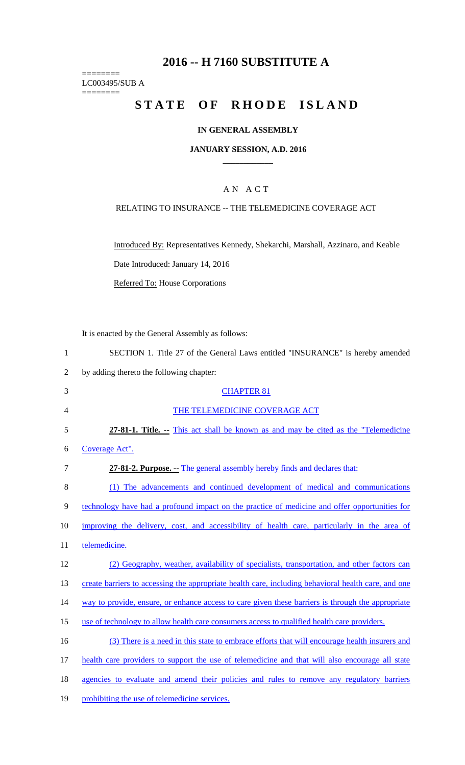# **2016 -- H 7160 SUBSTITUTE A**

======== LC003495/SUB A ========

# **STATE OF RHODE ISLAND**

### **IN GENERAL ASSEMBLY**

#### **JANUARY SESSION, A.D. 2016 \_\_\_\_\_\_\_\_\_\_\_\_**

### A N A C T

### RELATING TO INSURANCE -- THE TELEMEDICINE COVERAGE ACT

Introduced By: Representatives Kennedy, Shekarchi, Marshall, Azzinaro, and Keable

Date Introduced: January 14, 2016

Referred To: House Corporations

It is enacted by the General Assembly as follows:

| SECTION 1. Title 27 of the General Laws entitled "INSURANCE" is hereby amended |
|--------------------------------------------------------------------------------|
|--------------------------------------------------------------------------------|

2 by adding thereto the following chapter:

| 3              | <b>CHAPTER 81</b>                                                                                   |
|----------------|-----------------------------------------------------------------------------------------------------|
| $\overline{4}$ | THE TELEMEDICINE COVERAGE ACT                                                                       |
| 5              | 27-81-1. Title. -- This act shall be known as and may be cited as the "Telemedicine"                |
| 6              | Coverage Act".                                                                                      |
| 7              | 27-81-2. Purpose. - The general assembly hereby finds and declares that:                            |
| 8              | (1) The advancements and continued development of medical and communications                        |
| 9              | technology have had a profound impact on the practice of medicine and offer opportunities for       |
| 10             | improving the delivery, cost, and accessibility of health care, particularly in the area of         |
| 11             | telemedicine.                                                                                       |
| 12             | (2) Geography, weather, availability of specialists, transportation, and other factors can          |
| 13             | create barriers to accessing the appropriate health care, including behavioral health care, and one |
| 14             | way to provide, ensure, or enhance access to care given these barriers is through the appropriate   |
| 15             | use of technology to allow health care consumers access to qualified health care providers.         |
| 16             | (3) There is a need in this state to embrace efforts that will encourage health insurers and        |
| 17             | health care providers to support the use of telemedicine and that will also encourage all state     |
| 18             | agencies to evaluate and amend their policies and rules to remove any regulatory barriers           |
| 19             | prohibiting the use of telemedicine services.                                                       |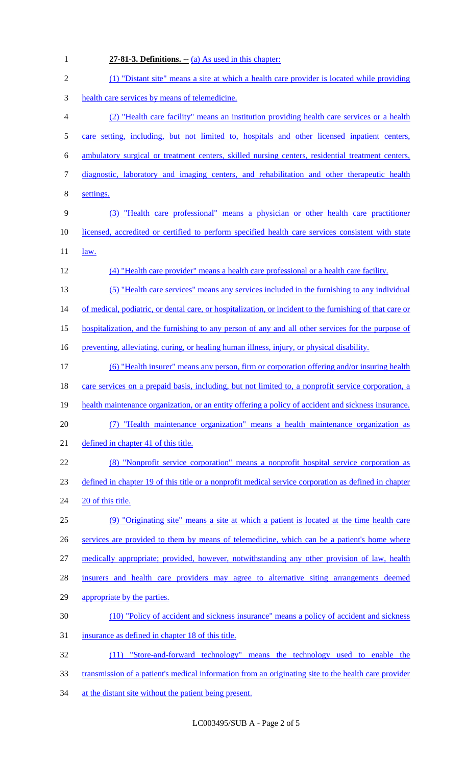1 **27-81-3. Definitions. --** (a) As used in this chapter:

| $\mathbf{2}$   | (1) "Distant site" means a site at which a health care provider is located while providing               |
|----------------|----------------------------------------------------------------------------------------------------------|
| $\mathfrak{Z}$ | health care services by means of telemedicine.                                                           |
| $\overline{4}$ | (2) "Health care facility" means an institution providing health care services or a health               |
| $\mathfrak{S}$ | care setting, including, but not limited to, hospitals and other licensed inpatient centers,             |
| 6              | ambulatory surgical or treatment centers, skilled nursing centers, residential treatment centers,        |
| $\tau$         | diagnostic, laboratory and imaging centers, and rehabilitation and other therapeutic health              |
| $8\,$          | settings.                                                                                                |
| 9              | (3) "Health care professional" means a physician or other health care practitioner                       |
| 10             | licensed, accredited or certified to perform specified health care services consistent with state        |
| 11             | law.                                                                                                     |
| 12             | (4) "Health care provider" means a health care professional or a health care facility.                   |
| 13             | (5) "Health care services" means any services included in the furnishing to any individual               |
| 14             | of medical, podiatric, or dental care, or hospitalization, or incident to the furnishing of that care or |
| 15             | hospitalization, and the furnishing to any person of any and all other services for the purpose of       |
| 16             | preventing, alleviating, curing, or healing human illness, injury, or physical disability.               |
| 17             | (6) "Health insurer" means any person, firm or corporation offering and/or insuring health               |
| 18             | care services on a prepaid basis, including, but not limited to, a nonprofit service corporation, a      |
| 19             | health maintenance organization, or an entity offering a policy of accident and sickness insurance.      |
| 20             | (7) "Health maintenance organization" means a health maintenance organization as                         |
| 21             | defined in chapter 41 of this title.                                                                     |
| 22             | (8) "Nonprofit service corporation" means a nonprofit hospital service corporation as                    |
| 23             | defined in chapter 19 of this title or a nonprofit medical service corporation as defined in chapter     |
| 24             | 20 of this title.                                                                                        |
| 25             | (9) "Originating site" means a site at which a patient is located at the time health care                |
| 26             | services are provided to them by means of telemedicine, which can be a patient's home where              |
| 27             | medically appropriate; provided, however, notwithstanding any other provision of law, health             |
| 28             | insurers and health care providers may agree to alternative siting arrangements deemed                   |
| 29             | appropriate by the parties.                                                                              |
| 30             | (10) "Policy of accident and sickness insurance" means a policy of accident and sickness                 |
| 31             | insurance as defined in chapter 18 of this title.                                                        |
| 32             | (11) "Store-and-forward technology" means the technology used to enable the                              |
| 33             | transmission of a patient's medical information from an originating site to the health care provider     |
| 34             | at the distant site without the patient being present.                                                   |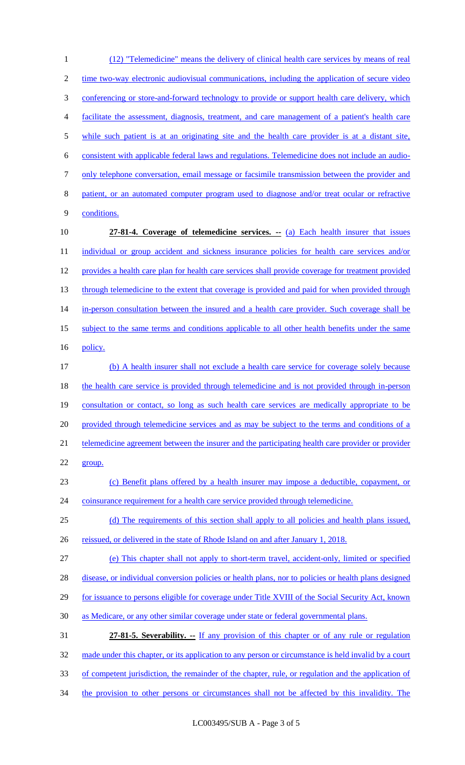1 (12) "Telemedicine" means the delivery of clinical health care services by means of real 2 time two-way electronic audiovisual communications, including the application of secure video 3 conferencing or store-and-forward technology to provide or support health care delivery, which 4 facilitate the assessment, diagnosis, treatment, and care management of a patient's health care 5 while such patient is at an originating site and the health care provider is at a distant site, 6 consistent with applicable federal laws and regulations. Telemedicine does not include an audio-7 only telephone conversation, email message or facsimile transmission between the provider and 8 patient, or an automated computer program used to diagnose and/or treat ocular or refractive 9 conditions. 10 **27-81-4. Coverage of telemedicine services. --** (a) Each health insurer that issues 11 individual or group accident and sickness insurance policies for health care services and/or 12 provides a health care plan for health care services shall provide coverage for treatment provided 13 through telemedicine to the extent that coverage is provided and paid for when provided through 14 in-person consultation between the insured and a health care provider. Such coverage shall be 15 subject to the same terms and conditions applicable to all other health benefits under the same 16 policy. 17 (b) A health insurer shall not exclude a health care service for coverage solely because 18 the health care service is provided through telemedicine and is not provided through in-person 19 consultation or contact, so long as such health care services are medically appropriate to be 20 provided through telemedicine services and as may be subject to the terms and conditions of a 21 telemedicine agreement between the insurer and the participating health care provider or provider 22 group. 23 (c) Benefit plans offered by a health insurer may impose a deductible, copayment, or 24 coinsurance requirement for a health care service provided through telemedicine. 25 (d) The requirements of this section shall apply to all policies and health plans issued, 26 reissued, or delivered in the state of Rhode Island on and after January 1, 2018. 27 (e) This chapter shall not apply to short-term travel, accident-only, limited or specified 28 disease, or individual conversion policies or health plans, nor to policies or health plans designed 29 for issuance to persons eligible for coverage under Title XVIII of the Social Security Act, known 30 as Medicare, or any other similar coverage under state or federal governmental plans. 31 **27-81-5. Severability.** If any provision of this chapter or of any rule or regulation 32 made under this chapter, or its application to any person or circumstance is held invalid by a court 33 of competent jurisdiction, the remainder of the chapter, rule, or regulation and the application of 34 the provision to other persons or circumstances shall not be affected by this invalidity. The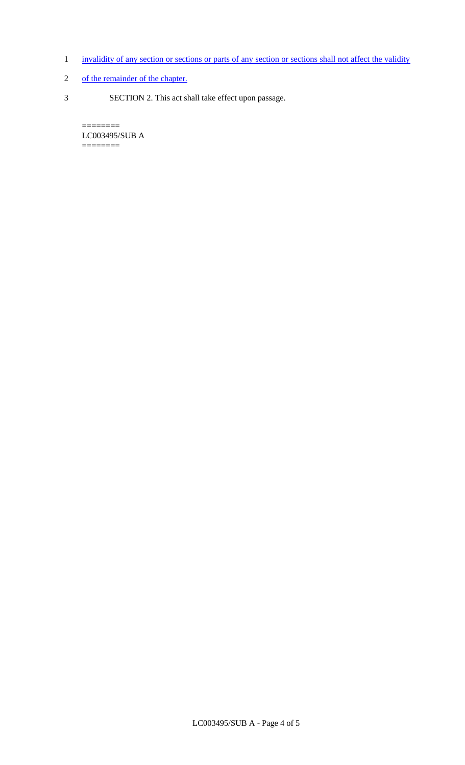- 1 invalidity of any section or sections or parts of any section or sections shall not affect the validity
- 2 of the remainder of the chapter.
- 3 SECTION 2. This act shall take effect upon passage.

LC003495/SUB A ========

 $=$